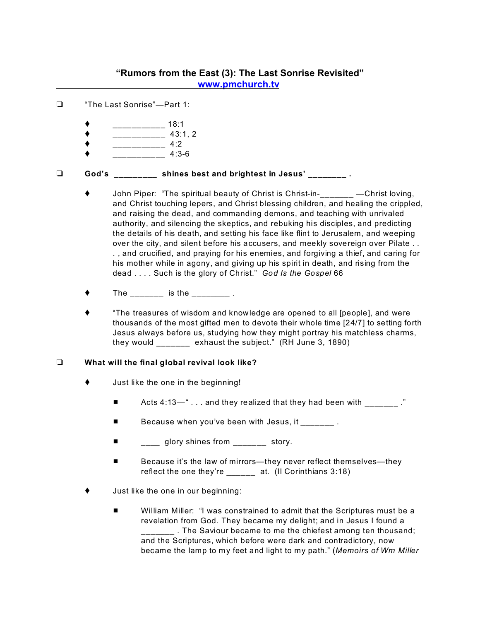## **"Rumors from the East (3): The Last Sonrise Revisited" [www.pmchurch.tv](http://www.pmchurch.tv)**

- "The Last Sonrise"—Part 1:
	- \_\_\_\_\_\_\_\_\_\_\_ 18:1
	- \_\_\_\_\_\_\_\_\_\_\_ 43:1, 2
	- $\bullet$  \_\_\_\_\_\_\_\_\_\_\_ 4:2
	- \_\_\_\_\_\_\_\_\_\_\_ 4:3-6

## **God's \_\_\_\_\_\_\_\_\_ shines best and brightest in Jesus' \_\_\_\_\_\_\_\_ .**

- John Piper: "The spiritual beauty of Christ is Christ-in-<br>
Christ loving, and Christ touching lepers, and Christ blessing children, and healing the crippled, and raising the dead, and commanding demons, and teaching with unrivaled authority, and silencing the skeptics, and rebuking his disciples, and predicting the details of his death, and setting his face like flint to Jerusalem, and weeping over the city, and silent before his accusers, and meekly sovereign over Pilate . . . , and crucified, and praying for his enemies, and forgiving a thief, and caring for his mother while in agony, and giving up his spirit in death, and rising from the dead . . . . Such is the glory of Christ." *God Is the Gospel* 66
- $\bullet$  The \_\_\_\_\_\_ is the \_\_\_\_\_\_\_.
- "The treasures of wisdom and knowledge are opened to all [people], and were thousands of the most gifted men to devote their whole time [24/7] to setting forth Jesus always before us, studying how they might portray his matchless charms, they would \_\_\_\_\_\_\_ exhaust the subject." (RH June 3, 1890)

## **What will the final global revival look like?**

- $\bullet$  Just like the one in the beginning!
	- **E** Acts 4:13—" . . . and they realized that they had been with  $\qquad$  ."
	- Because when you've been with Jesus, it \_\_\_\_\_\_\_\_.
	- $\blacksquare$  glory shines from \_\_\_\_\_\_\_ story.
	- Because it's the law of mirrors—they never reflect themselves—they reflect the one they're \_\_\_\_\_\_ at. (II Corinthians 3:18)
- Just like the one in our beginning:
	- William Miller: "I was constrained to admit that the Scriptures must be a revelation from God. They became my delight; and in Jesus I found a \_\_\_\_\_\_\_ . The Saviour became to me the chiefest among ten thousand; and the Scriptures, which before were dark and contradictory, now became the lamp to my feet and light to my path." (*Memoirs of Wm Miller*